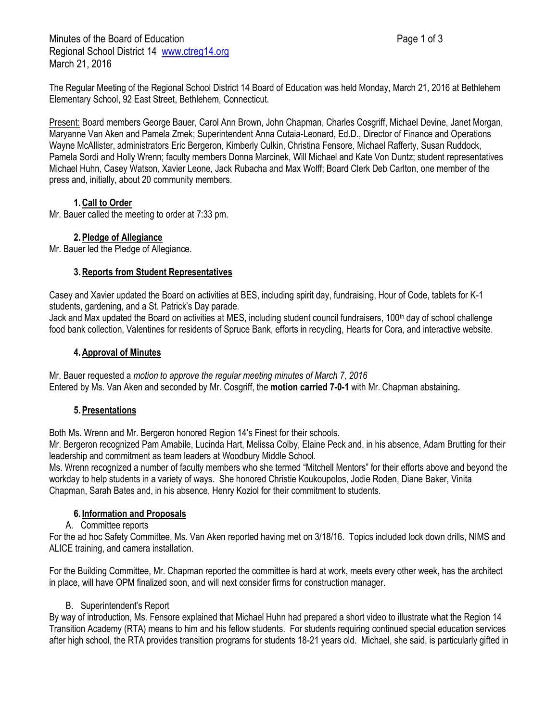Minutes of the Board of Education **Page 1 of 3** Page 1 of 3 Regional School District 14 [www.ctreg14.org](http://www.ctreg14.org/) March 21, 2016

The Regular Meeting of the Regional School District 14 Board of Education was held Monday, March 21, 2016 at Bethlehem Elementary School, 92 East Street, Bethlehem, Connecticut.

Present: Board members George Bauer, Carol Ann Brown, John Chapman, Charles Cosgriff, Michael Devine, Janet Morgan, Maryanne Van Aken and Pamela Zmek; Superintendent Anna Cutaia-Leonard, Ed.D., Director of Finance and Operations Wayne McAllister, administrators Eric Bergeron, Kimberly Culkin, Christina Fensore, Michael Rafferty, Susan Ruddock, Pamela Sordi and Holly Wrenn; faculty members Donna Marcinek, Will Michael and Kate Von Duntz; student representatives Michael Huhn, Casey Watson, Xavier Leone, Jack Rubacha and Max Wolff; Board Clerk Deb Carlton, one member of the press and, initially, about 20 community members.

# **1.Call to Order**

Mr. Bauer called the meeting to order at 7:33 pm.

# **2.Pledge of Allegiance**

Mr. Bauer led the Pledge of Allegiance.

#### **3.Reports from Student Representatives**

Casey and Xavier updated the Board on activities at BES, including spirit day, fundraising, Hour of Code, tablets for K-1 students, gardening, and a St. Patrick's Day parade.

Jack and Max updated the Board on activities at MES, including student council fundraisers, 100th day of school challenge food bank collection, Valentines for residents of Spruce Bank, efforts in recycling, Hearts for Cora, and interactive website.

# **4.Approval of Minutes**

Mr. Bauer requested a *motion to approve the regular meeting minutes of March 7, 2016*  Entered by Ms. Van Aken and seconded by Mr. Cosgriff, the **motion carried 7-0-1** with Mr. Chapman abstaining**.**

# **5.Presentations**

Both Ms. Wrenn and Mr. Bergeron honored Region 14's Finest for their schools.

Mr. Bergeron recognized Pam Amabile, Lucinda Hart, Melissa Colby, Elaine Peck and, in his absence, Adam Brutting for their leadership and commitment as team leaders at Woodbury Middle School.

Ms. Wrenn recognized a number of faculty members who she termed "Mitchell Mentors" for their efforts above and beyond the workday to help students in a variety of ways. She honored Christie Koukoupolos, Jodie Roden, Diane Baker, Vinita Chapman, Sarah Bates and, in his absence, Henry Koziol for their commitment to students.

# **6. Information and Proposals**

#### A. Committee reports

For the ad hoc Safety Committee, Ms. Van Aken reported having met on 3/18/16. Topics included lock down drills, NIMS and ALICE training, and camera installation.

For the Building Committee, Mr. Chapman reported the committee is hard at work, meets every other week, has the architect in place, will have OPM finalized soon, and will next consider firms for construction manager.

# B. Superintendent's Report

By way of introduction, Ms. Fensore explained that Michael Huhn had prepared a short video to illustrate what the Region 14 Transition Academy (RTA) means to him and his fellow students. For students requiring continued special education services after high school, the RTA provides transition programs for students 18-21 years old. Michael, she said, is particularly gifted in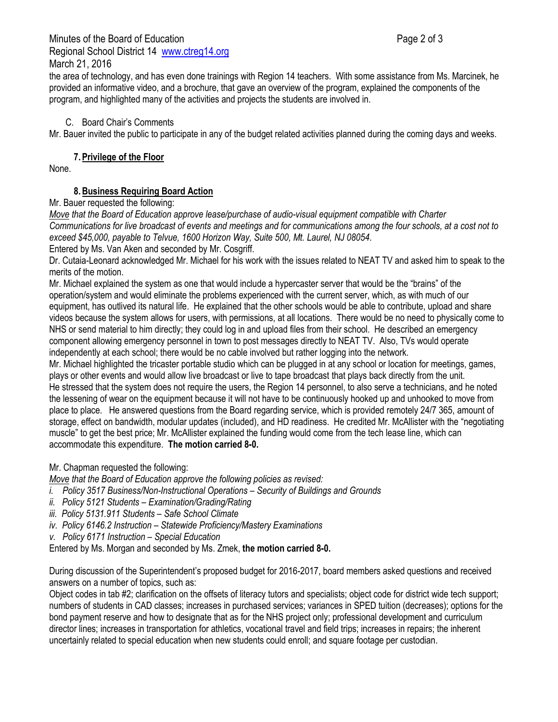the area of technology, and has even done trainings with Region 14 teachers. With some assistance from Ms. Marcinek, he provided an informative video, and a brochure, that gave an overview of the program, explained the components of the program, and highlighted many of the activities and projects the students are involved in.

#### C. Board Chair's Comments

Mr. Bauer invited the public to participate in any of the budget related activities planned during the coming days and weeks.

#### **7.Privilege of the Floor**

None.

# **8.Business Requiring Board Action**

#### Mr. Bauer requested the following:

*Move that the Board of Education approve lease/purchase of audio-visual equipment compatible with Charter Communications for live broadcast of events and meetings and for communications among the four schools, at a cost not to exceed \$45,000, payable to Telvue, 1600 Horizon Way, Suite 500, Mt. Laurel, NJ 08054.* Entered by Ms. Van Aken and seconded by Mr. Cosgriff.

Dr. Cutaia-Leonard acknowledged Mr. Michael for his work with the issues related to NEAT TV and asked him to speak to the merits of the motion.

Mr. Michael explained the system as one that would include a hypercaster server that would be the "brains" of the operation/system and would eliminate the problems experienced with the current server, which, as with much of our equipment, has outlived its natural life. He explained that the other schools would be able to contribute, upload and share videos because the system allows for users, with permissions, at all locations. There would be no need to physically come to NHS or send material to him directly; they could log in and upload files from their school. He described an emergency component allowing emergency personnel in town to post messages directly to NEAT TV. Also, TVs would operate independently at each school; there would be no cable involved but rather logging into the network.

Mr. Michael highlighted the tricaster portable studio which can be plugged in at any school or location for meetings, games, plays or other events and would allow live broadcast or live to tape broadcast that plays back directly from the unit. He stressed that the system does not require the users, the Region 14 personnel, to also serve a technicians, and he noted the lessening of wear on the equipment because it will not have to be continuously hooked up and unhooked to move from place to place. He answered questions from the Board regarding service, which is provided remotely 24/7 365, amount of storage, effect on bandwidth, modular updates (included), and HD readiness. He credited Mr. McAllister with the "negotiating muscle" to get the best price; Mr. McAllister explained the funding would come from the tech lease line, which can accommodate this expenditure. **The motion carried 8-0.**

# Mr. Chapman requested the following:

*Move that the Board of Education approve the following policies as revised:*

- *i. Policy 3517 Business/Non-Instructional Operations – Security of Buildings and Grounds*
- *ii. Policy 5121 Students – Examination/Grading/Rating*
- *iii. Policy 5131.911 Students – Safe School Climate*
- *iv. Policy 6146.2 Instruction – Statewide Proficiency/Mastery Examinations*
- *v. Policy 6171 Instruction – Special Education*
- Entered by Ms. Morgan and seconded by Ms. Zmek, **the motion carried 8-0.**

During discussion of the Superintendent's proposed budget for 2016-2017, board members asked questions and received answers on a number of topics, such as:

Object codes in tab #2; clarification on the offsets of literacy tutors and specialists; object code for district wide tech support; numbers of students in CAD classes; increases in purchased services; variances in SPED tuition (decreases); options for the bond payment reserve and how to designate that as for the NHS project only; professional development and curriculum director lines; increases in transportation for athletics, vocational travel and field trips; increases in repairs; the inherent uncertainly related to special education when new students could enroll; and square footage per custodian.